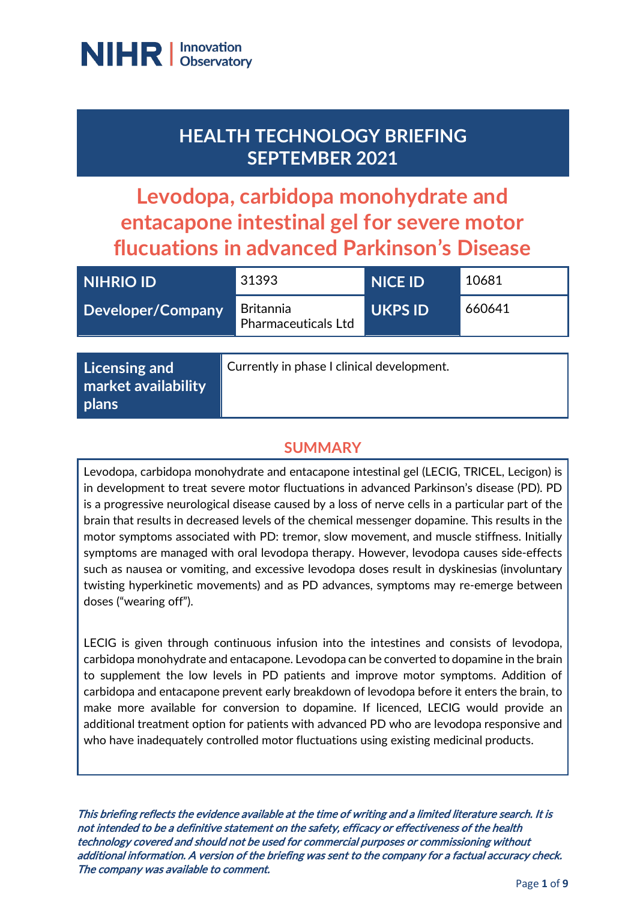

**plans**

# **HEALTH TECHNOLOGY BRIEFING SEPTEMBER 2021**

**Levodopa, carbidopa monohydrate and entacapone intestinal gel for severe motor flucuations in advanced Parkinson's Disease**

| <b>NIHRIO ID</b>                            | 31393                                          | <b>NICE ID</b> | 10681  |
|---------------------------------------------|------------------------------------------------|----------------|--------|
| <b>Developer/Company</b>                    | <b>Britannia</b><br><b>Pharmaceuticals Ltd</b> | <b>UKPS ID</b> | 660641 |
|                                             |                                                |                |        |
| <b>Licensing and</b><br>market availability | Currently in phase I clinical development.     |                |        |

#### **SUMMARY**

Levodopa, carbidopa monohydrate and entacapone intestinal gel (LECIG, TRICEL, Lecigon) is in development to treat severe motor fluctuations in advanced Parkinson's disease (PD). PD is a progressive neurological disease caused by a loss of nerve cells in a particular part of the brain that results in decreased levels of the chemical messenger dopamine. This results in the motor symptoms associated with PD: tremor, slow movement, and muscle stiffness. Initially symptoms are managed with oral levodopa therapy. However, levodopa causes side-effects such as nausea or vomiting, and excessive levodopa doses result in dyskinesias (involuntary twisting hyperkinetic movements) and as PD advances, symptoms may re-emerge between doses ("wearing off").

LECIG is given through continuous infusion into the intestines and consists of levodopa, carbidopa monohydrate and entacapone. Levodopa can be converted to dopamine in the brain to supplement the low levels in PD patients and improve motor symptoms. Addition of carbidopa and entacapone prevent early breakdown of levodopa before it enters the brain, to make more available for conversion to dopamine. If licenced, LECIG would provide an additional treatment option for patients with advanced PD who are levodopa responsive and who have inadequately controlled motor fluctuations using existing medicinal products.

This briefing reflects the evidence available at the time of writing and a limited literature search. It is not intended to be a definitive statement on the safety, efficacy or effectiveness of the health technology covered and should not be used for commercial purposes or commissioning without additional information. A version of the briefing was sent to the company for a factual accuracy check. The company was available to comment.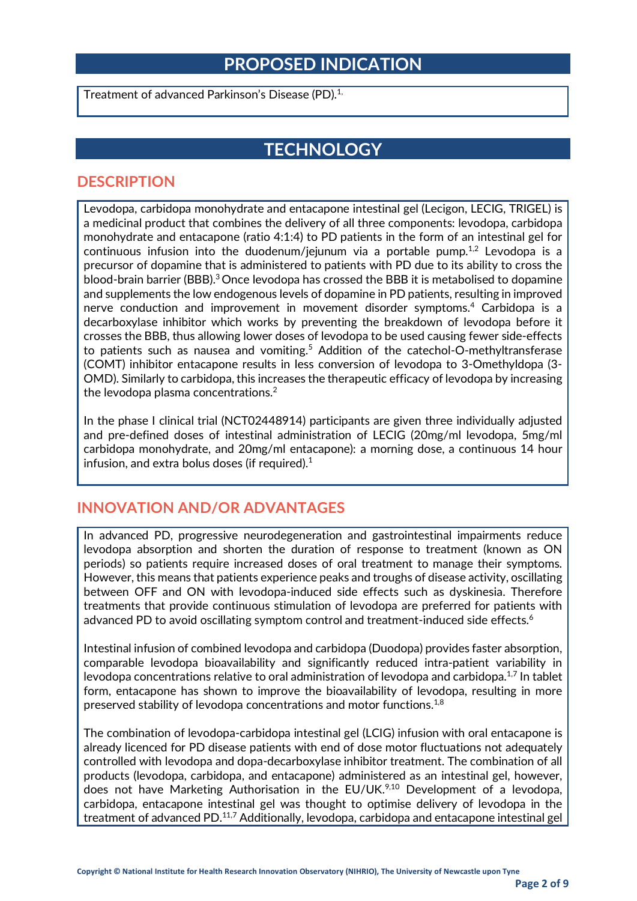### **PROPOSED INDICATION**

Treatment of advanced Parkinson's Disease (PD). 1,

## **TECHNOLOGY**

#### **DESCRIPTION**

Levodopa, carbidopa monohydrate and entacapone intestinal gel (Lecigon, LECIG, TRIGEL) is a medicinal product that combines the delivery of all three components: levodopa, carbidopa monohydrate and entacapone (ratio 4:1:4) to PD patients in the form of an intestinal gel for continuous infusion into the duodenum/jejunum via a portable pump.<sup>1,2</sup> Levodopa is a precursor of dopamine that is administered to patients with PD due to its ability to cross the blood-brain barrier (BBB).3 Once levodopa has crossed the BBB it is metabolised to dopamine and supplements the low endogenous levels of dopamine in PD patients, resulting in improved nerve conduction and improvement in movement disorder symptoms.<sup>4</sup> Carbidopa is a decarboxylase inhibitor which works by preventing the breakdown of levodopa before it crosses the BBB, thus allowing lower doses of levodopa to be used causing fewer side-effects to patients such as nausea and vomiting.<sup>5</sup> Addition of the catechol-O-methyltransferase (COMT) inhibitor entacapone results in less conversion of levodopa to 3-Omethyldopa (3- OMD). Similarly to carbidopa, this increases the therapeutic efficacy of levodopa by increasing the levodopa plasma concentrations. $2$ 

In the phase I clinical trial (NCT02448914) participants are given three individually adjusted and pre-defined doses of intestinal administration of LECIG (20mg/ml levodopa, 5mg/ml carbidopa monohydrate, and 20mg/ml entacapone): a morning dose, a continuous 14 hour infusion, and extra bolus doses (if required). $1$ 

#### **INNOVATION AND/OR ADVANTAGES**

In advanced PD, progressive neurodegeneration and gastrointestinal impairments reduce levodopa absorption and shorten the duration of response to treatment (known as ON periods) so patients require increased doses of oral treatment to manage their symptoms. However, this means that patients experience peaks and troughs of disease activity, oscillating between OFF and ON with levodopa-induced side effects such as dyskinesia. Therefore treatments that provide continuous stimulation of levodopa are preferred for patients with advanced PD to avoid oscillating symptom control and treatment-induced side effects.<sup>6</sup>

Intestinal infusion of combined levodopa and carbidopa (Duodopa) provides faster absorption, comparable levodopa bioavailability and significantly reduced intra-patient variability in levodopa concentrations relative to oral administration of levodopa and carbidopa.1,7 In tablet form, entacapone has shown to improve the bioavailability of levodopa, resulting in more preserved stability of levodopa concentrations and motor functions.1,8

The combination of levodopa-carbidopa intestinal gel (LCIG) infusion with oral entacapone is already licenced for PD disease patients with end of dose motor fluctuations not adequately controlled with levodopa and dopa-decarboxylase inhibitor treatment. The combination of all products (levodopa, carbidopa, and entacapone) administered as an intestinal gel, however, does not have Marketing Authorisation in the EU/UK.<sup>9,10</sup> Development of a levodopa, carbidopa, entacapone intestinal gel was thought to optimise delivery of levodopa in the treatment of advanced PD.<sup>11,7</sup> Additionally, levodopa, carbidopa and entacapone intestinal gel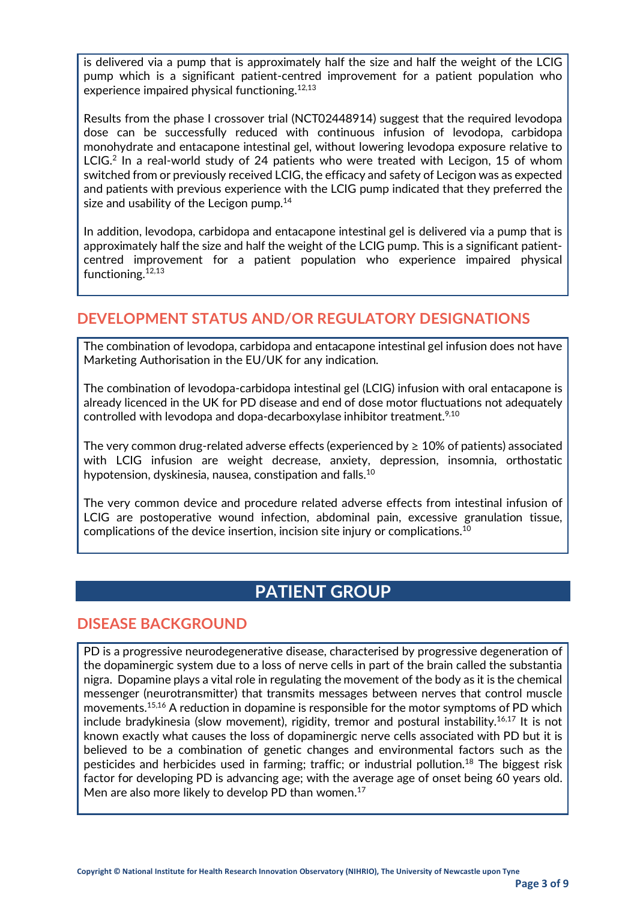is delivered via a pump that is approximately half the size and half the weight of the LCIG pump which is a significant patient-centred improvement for a patient population who experience impaired physical functioning.12,13

Results from the phase I crossover trial (NCT02448914) suggest that the required levodopa dose can be successfully reduced with continuous infusion of levodopa, carbidopa monohydrate and entacapone intestinal gel, without lowering levodopa exposure relative to LCIG.<sup>2</sup> In a real-world study of 24 patients who were treated with Lecigon, 15 of whom switched from or previously received LCIG, the efficacy and safety of Lecigon was as expected and patients with previous experience with the LCIG pump indicated that they preferred the size and usability of the Lecigon pump. $14$ 

In addition, levodopa, carbidopa and entacapone intestinal gel is delivered via a pump that is approximately half the size and half the weight of the LCIG pump. This is a significant patientcentred improvement for a patient population who experience impaired physical functioning.12,13

#### **DEVELOPMENT STATUS AND/OR REGULATORY DESIGNATIONS**

The combination of levodopa, carbidopa and entacapone intestinal gel infusion does not have Marketing Authorisation in the EU/UK for any indication.

The combination of levodopa-carbidopa intestinal gel (LCIG) infusion with oral entacapone is already licenced in the UK for PD disease and end of dose motor fluctuations not adequately controlled with levodopa and dopa-decarboxylase inhibitor treatment.<sup>9,10</sup>

The very common drug-related adverse effects (experienced by  $\geq 10\%$  of patients) associated with LCIG infusion are weight decrease, anxiety, depression, insomnia, orthostatic hypotension, dyskinesia, nausea, constipation and falls.<sup>10</sup>

The very common device and procedure related adverse effects from intestinal infusion of LCIG are postoperative wound infection, abdominal pain, excessive granulation tissue, complications of the device insertion, incision site injury or complications.10

### **PATIENT GROUP**

#### **DISEASE BACKGROUND**

PD is a progressive neurodegenerative disease, characterised by progressive degeneration of the dopaminergic system due to a loss of nerve cells in part of the brain called the substantia nigra. Dopamine plays a vital role in regulating the movement of the body as it is the chemical messenger (neurotransmitter) that transmits messages between nerves that control muscle movements.15,16 A reduction in dopamine is responsible for the motor symptoms of PD which include bradykinesia (slow movement), rigidity, tremor and postural instability.16,17 It is not known exactly what causes the loss of dopaminergic nerve cells associated with PD but it is believed to be a combination of genetic changes and environmental factors such as the pesticides and herbicides used in farming; traffic; or industrial pollution.<sup>18</sup> The biggest risk factor for developing PD is advancing age; with the average age of onset being 60 years old. Men are also more likely to develop PD than women.<sup>17</sup>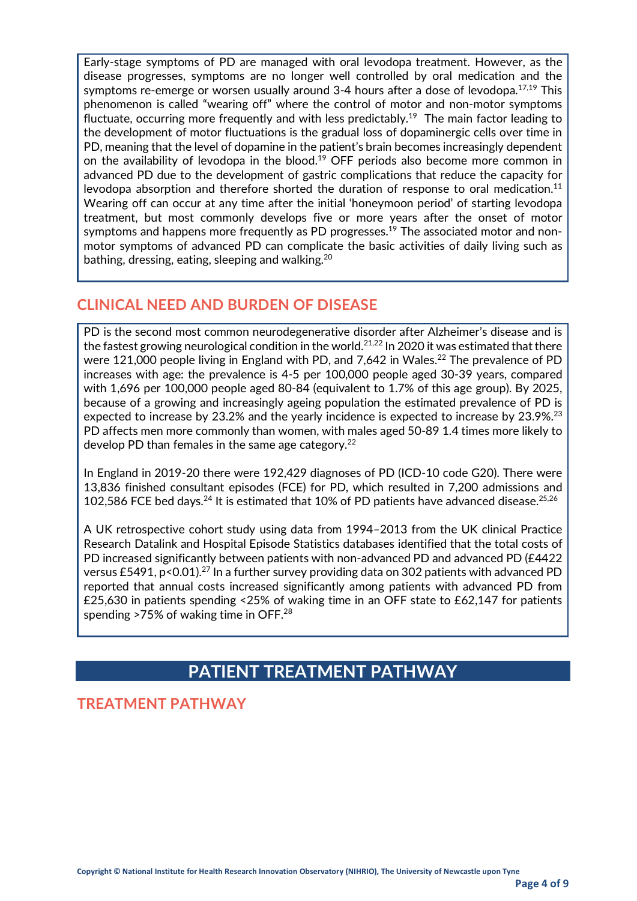Early-stage symptoms of PD are managed with oral levodopa treatment. However, as the disease progresses, symptoms are no longer well controlled by oral medication and the symptoms re-emerge or worsen usually around 3-4 hours after a dose of levodopa. $17,19$  This phenomenon is called "wearing off" where the control of motor and non-motor symptoms fluctuate, occurring more frequently and with less predictably.<sup>19</sup> The main factor leading to the development of motor fluctuations is the gradual loss of dopaminergic cells over time in PD, meaning that the level of dopamine in the patient's brain becomes increasingly dependent on the availability of levodopa in the blood.<sup>19</sup> OFF periods also become more common in advanced PD due to the development of gastric complications that reduce the capacity for levodopa absorption and therefore shorted the duration of response to oral medication.<sup>11</sup> Wearing off can occur at any time after the initial 'honeymoon period' of starting levodopa treatment, but most commonly develops five or more years after the onset of motor symptoms and happens more frequently as PD progresses.<sup>19</sup> The associated motor and nonmotor symptoms of advanced PD can complicate the basic activities of daily living such as bathing, dressing, eating, sleeping and walking.<sup>20</sup>

#### **CLINICAL NEED AND BURDEN OF DISEASE**

PD is the second most common neurodegenerative disorder after Alzheimer's disease and is the fastest growing neurological condition in the world. $^{21,22}$  In 2020 it was estimated that there were 121,000 people living in England with PD, and 7,642 in Wales.<sup>22</sup> The prevalence of PD increases with age: the prevalence is 4-5 per 100,000 people aged 30-39 years, compared with 1,696 per 100,000 people aged 80-84 (equivalent to 1.7% of this age group). By 2025, because of a growing and increasingly ageing population the estimated prevalence of PD is expected to increase by 23.2% and the yearly incidence is expected to increase by 23.9%.<sup>23</sup> PD affects men more commonly than women, with males aged 50-89 1.4 times more likely to develop PD than females in the same age category. $^{22}$ 

In England in 2019-20 there were 192,429 diagnoses of PD (ICD-10 code G20). There were 13,836 finished consultant episodes (FCE) for PD, which resulted in 7,200 admissions and 102,586 FCE bed days.<sup>24</sup> It is estimated that 10% of PD patients have advanced disease.<sup>25,26</sup>

A UK retrospective cohort study using data from 1994–2013 from the UK clinical Practice Research Datalink and Hospital Episode Statistics databases identified that the total costs of PD increased significantly between patients with non-advanced PD and advanced PD (£4422) versus £5491, p<0.01).<sup>27</sup> In a further survey providing data on 302 patients with advanced PD reported that annual costs increased significantly among patients with advanced PD from £25,630 in patients spending <25% of waking time in an OFF state to £62,147 for patients spending >75% of waking time in OFF.<sup>28</sup>

## **PATIENT TREATMENT PATHWAY**

#### **TREATMENT PATHWAY**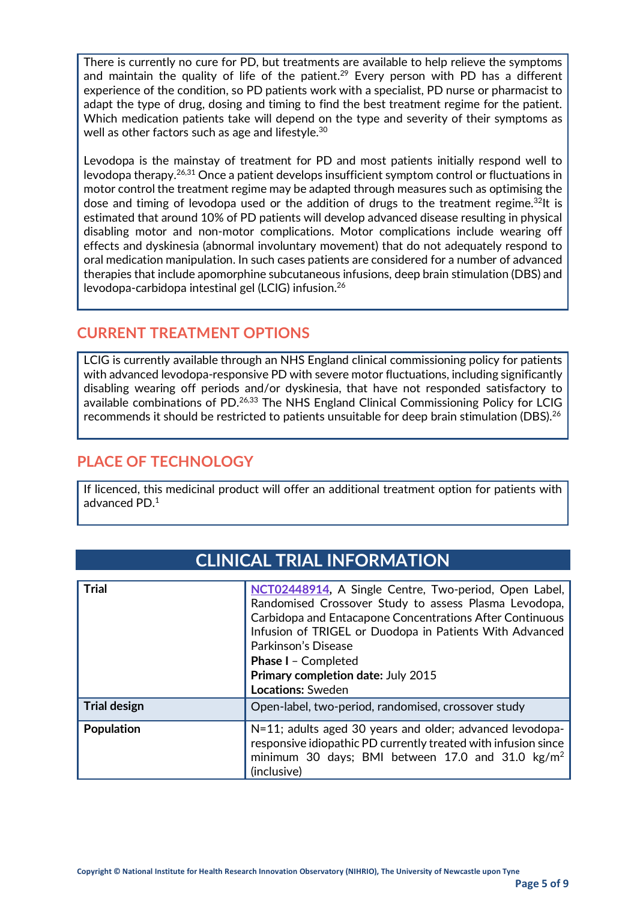There is currently no cure for PD, but treatments are available to help relieve the symptoms and maintain the quality of life of the patient.<sup>29</sup> Every person with PD has a different experience of the condition, so PD patients work with a specialist, PD nurse or pharmacist to adapt the type of drug, dosing and timing to find the best treatment regime for the patient. Which medication patients take will depend on the type and severity of their symptoms as well as other factors such as age and lifestyle.<sup>30</sup>

Levodopa is the mainstay of treatment for PD and most patients initially respond well to levodopa therapy.26,31 Once a patient develops insufficient symptom control or fluctuations in motor control the treatment regime may be adapted through measures such as optimising the dose and timing of levodopa used or the addition of drugs to the treatment regime.<sup>32</sup>It is estimated that around 10% of PD patients will develop advanced disease resulting in physical disabling motor and non-motor complications. Motor complications include wearing off effects and dyskinesia (abnormal involuntary movement) that do not adequately respond to oral medication manipulation. In such cases patients are considered for a number of advanced therapies that include apomorphine subcutaneous infusions, deep brain stimulation (DBS) and levodopa-carbidopa intestinal gel (LCIG) infusion.26

#### **CURRENT TREATMENT OPTIONS**

LCIG is currently available through an NHS England clinical commissioning policy for patients with advanced levodopa-responsive PD with severe motor fluctuations, including significantly disabling wearing off periods and/or dyskinesia, that have not responded satisfactory to available combinations of PD.<sup>26,33</sup> The NHS England Clinical Commissioning Policy for LCIG recommends it should be restricted to patients unsuitable for deep brain stimulation (DBS).<sup>26</sup>

### **PLACE OF TECHNOLOGY**

If licenced, this medicinal product will offer an additional treatment option for patients with advanced PD. $^{\rm 1}$ 

| <b>Trial</b>        | NCT02448914, A Single Centre, Two-period, Open Label,<br>Randomised Crossover Study to assess Plasma Levodopa,<br>Carbidopa and Entacapone Concentrations After Continuous<br>Infusion of TRIGEL or Duodopa in Patients With Advanced<br>Parkinson's Disease<br><b>Phase I - Completed</b><br>Primary completion date: July 2015<br><b>Locations:</b> Sweden |  |
|---------------------|--------------------------------------------------------------------------------------------------------------------------------------------------------------------------------------------------------------------------------------------------------------------------------------------------------------------------------------------------------------|--|
| <b>Trial design</b> | Open-label, two-period, randomised, crossover study                                                                                                                                                                                                                                                                                                          |  |
| <b>Population</b>   | N=11; adults aged 30 years and older; advanced levodopa-<br>responsive idiopathic PD currently treated with infusion since<br>minimum 30 days; BMI between 17.0 and 31.0 $\text{kg/m}^2$<br>(inclusive)                                                                                                                                                      |  |

## **CLINICAL TRIAL INFORMATION**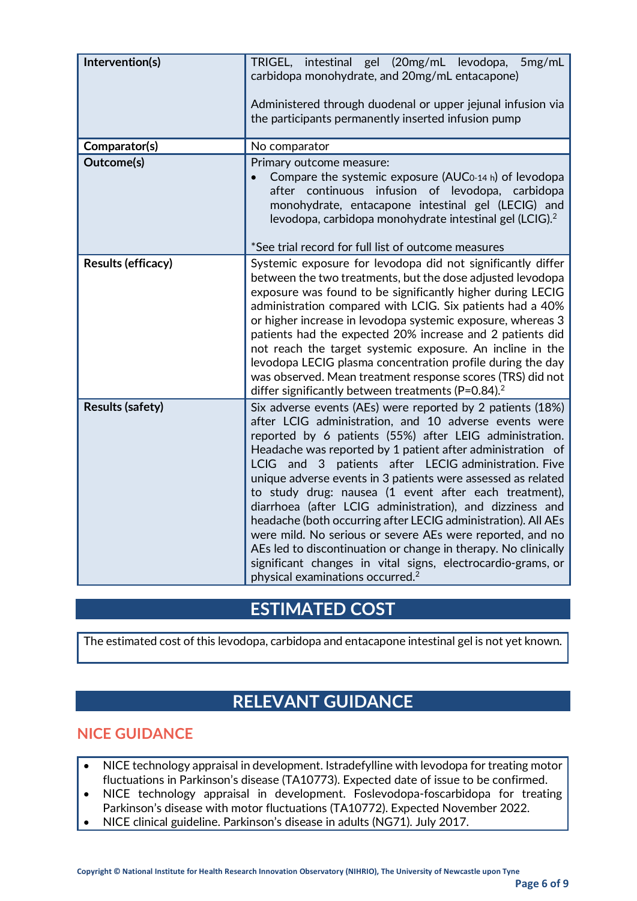| Intervention(s)           | TRIGEL, intestinal gel (20mg/mL levodopa,<br>5mg/mL<br>carbidopa monohydrate, and 20mg/mL entacapone)<br>Administered through duodenal or upper jejunal infusion via<br>the participants permanently inserted infusion pump                                                                                                                                                                                                                                                                                                                                                                                                                                                                                                                                                                                 |  |  |
|---------------------------|-------------------------------------------------------------------------------------------------------------------------------------------------------------------------------------------------------------------------------------------------------------------------------------------------------------------------------------------------------------------------------------------------------------------------------------------------------------------------------------------------------------------------------------------------------------------------------------------------------------------------------------------------------------------------------------------------------------------------------------------------------------------------------------------------------------|--|--|
| Comparator(s)             | No comparator                                                                                                                                                                                                                                                                                                                                                                                                                                                                                                                                                                                                                                                                                                                                                                                               |  |  |
| Outcome(s)                | Primary outcome measure:<br>Compare the systemic exposure (AUC <sub>0-14</sub> h) of levodopa<br>after continuous infusion of levodopa, carbidopa<br>monohydrate, entacapone intestinal gel (LECIG) and<br>levodopa, carbidopa monohydrate intestinal gel (LCIG). <sup>2</sup>                                                                                                                                                                                                                                                                                                                                                                                                                                                                                                                              |  |  |
|                           | *See trial record for full list of outcome measures                                                                                                                                                                                                                                                                                                                                                                                                                                                                                                                                                                                                                                                                                                                                                         |  |  |
| <b>Results (efficacy)</b> | Systemic exposure for levodopa did not significantly differ<br>between the two treatments, but the dose adjusted levodopa<br>exposure was found to be significantly higher during LECIG<br>administration compared with LCIG. Six patients had a 40%<br>or higher increase in levodopa systemic exposure, whereas 3<br>patients had the expected 20% increase and 2 patients did<br>not reach the target systemic exposure. An incline in the<br>levodopa LECIG plasma concentration profile during the day<br>was observed. Mean treatment response scores (TRS) did not<br>differ significantly between treatments ( $P=0.84$ ). <sup>2</sup>                                                                                                                                                             |  |  |
| <b>Results (safety)</b>   | Six adverse events (AEs) were reported by 2 patients (18%)<br>after LCIG administration, and 10 adverse events were<br>reported by 6 patients (55%) after LEIG administration.<br>Headache was reported by 1 patient after administration of<br>LCIG and 3<br>patients after LECIG administration. Five<br>unique adverse events in 3 patients were assessed as related<br>to study drug: nausea (1 event after each treatment),<br>diarrhoea (after LCIG administration), and dizziness and<br>headache (both occurring after LECIG administration). All AEs<br>were mild. No serious or severe AEs were reported, and no<br>AEs led to discontinuation or change in therapy. No clinically<br>significant changes in vital signs, electrocardio-grams, or<br>physical examinations occurred. <sup>2</sup> |  |  |

## **ESTIMATED COST**

The estimated cost of this levodopa, carbidopa and entacapone intestinal gel is not yet known.

# **RELEVANT GUIDANCE**

#### **NICE GUIDANCE**

- NICE technology appraisal in development. Istradefylline with levodopa for treating motor fluctuations in Parkinson's disease (TA10773). Expected date of issue to be confirmed.
- NICE technology appraisal in development. Foslevodopa-foscarbidopa for treating Parkinson's disease with motor fluctuations (TA10772). Expected November 2022.
- NICE clinical guideline. Parkinson's disease in adults (NG71). July 2017.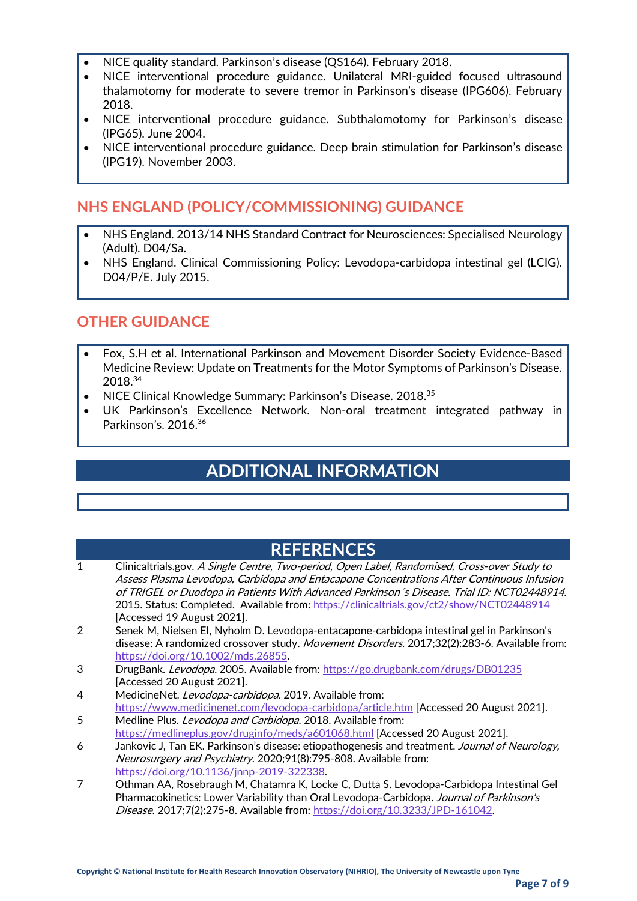- NICE quality standard. Parkinson's disease (QS164). February 2018.
- NICE interventional procedure guidance. Unilateral MRI-guided focused ultrasound thalamotomy for moderate to severe tremor in Parkinson's disease (IPG606). February 2018.
- NICE interventional procedure guidance. Subthalomotomy for Parkinson's disease (IPG65). June 2004.
- NICE interventional procedure guidance. Deep brain stimulation for Parkinson's disease (IPG19). November 2003.

### **NHS ENGLAND (POLICY/COMMISSIONING) GUIDANCE**

- NHS England. 2013/14 NHS Standard Contract for Neurosciences: Specialised Neurology (Adult). D04/Sa.
- NHS England. Clinical Commissioning Policy: Levodopa-carbidopa intestinal gel (LCIG). D04/P/E. July 2015.

#### **OTHER GUIDANCE**

- Fox, S.H et al. International Parkinson and Movement Disorder Society Evidence-Based Medicine Review: Update on Treatments for the Motor Symptoms of Parkinson's Disease. 2018.34
- NICE Clinical Knowledge Summary: Parkinson's Disease. 2018.35
- UK Parkinson's Excellence Network. Non-oral treatment integrated pathway in Parkinson's. 2016.36

## **ADDITIONAL INFORMATION**

### **REFERENCES**

- 1 Clinicaltrials.gov. A Single Centre, Two-period, Open Label, Randomised, Cross-over Study to Assess Plasma Levodopa, Carbidopa and Entacapone Concentrations After Continuous Infusion of TRIGEL or Duodopa in Patients With Advanced Parkinson´s Disease. Trial ID: NCT02448914. 2015. Status: Completed. Available from:<https://clinicaltrials.gov/ct2/show/NCT02448914> [Accessed 19 August 2021].
- 2 Senek M, Nielsen EI, Nyholm D. Levodopa-entacapone-carbidopa intestinal gel in Parkinson's disease: A randomized crossover study. Movement Disorders. 2017;32(2):283-6. Available from: [https://doi.org/10.1002/mds.26855.](https://doi.org/10.1002/mds.26855)
- 3 DrugBank. Levodopa. 2005. Available from[: https://go.drugbank.com/drugs/DB01235](https://go.drugbank.com/drugs/DB01235) [Accessed 20 August 2021].
- 4 MedicineNet. Levodopa-carbidopa. 2019. Available from: <https://www.medicinenet.com/levodopa-carbidopa/article.htm> [Accessed 20 August 2021].
- 5 Medline Plus. *Levodopa and Carbidopa.* 2018. Available from: <https://medlineplus.gov/druginfo/meds/a601068.html> [Accessed 20 August 2021].
- 6 Jankovic J, Tan EK. Parkinson's disease: etiopathogenesis and treatment. Journal of Neurology, Neurosurgery and Psychiatry. 2020;91(8):795-808. Available from: [https://doi.org/10.1136/jnnp-2019-322338.](https://doi.org/10.1136/jnnp-2019-322338)
- 7 Othman AA, Rosebraugh M, Chatamra K, Locke C, Dutta S. Levodopa-Carbidopa Intestinal Gel Pharmacokinetics: Lower Variability than Oral Levodopa-Carbidopa. Journal of Parkinson's Disease. 2017;7(2):275-8. Available from[: https://doi.org/10.3233/JPD-161042.](https://doi.org/10.3233/JPD-161042)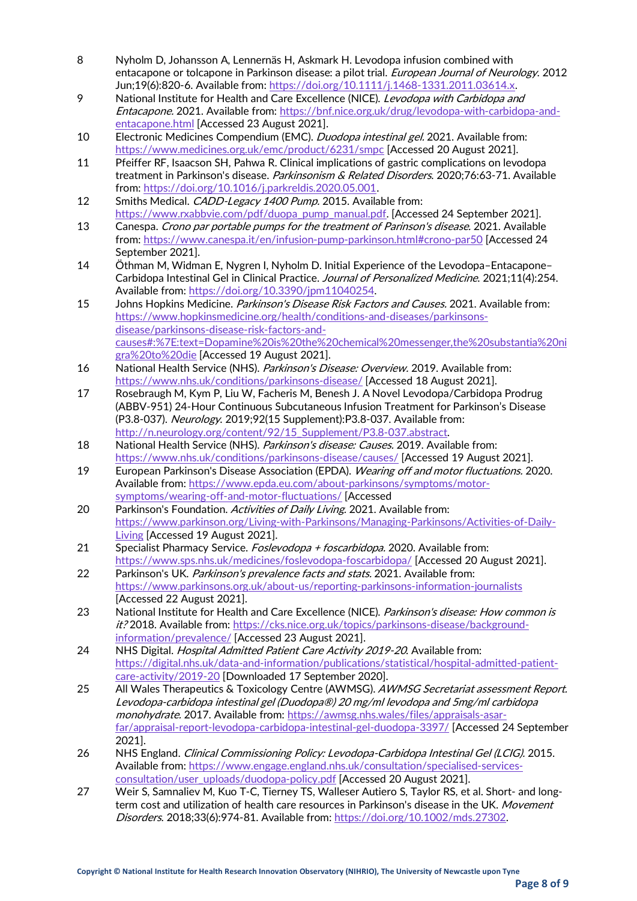- 8 Nyholm D, Johansson A, Lennernäs H, Askmark H. Levodopa infusion combined with entacapone or tolcapone in Parkinson disease: a pilot trial. *European Journal of Neurology*. 2012 Jun;19(6):820-6. Available from[: https://doi.org/10.1111/j.1468-1331.2011.03614.x.](https://doi.org/10.1111/j.1468-1331.2011.03614.x)
- 9 National Institute for Health and Care Excellence (NICE). Levodopa with Carbidopa and Entacapone. 2021. Available from: [https://bnf.nice.org.uk/drug/levodopa-with-carbidopa-and](https://bnf.nice.org.uk/drug/levodopa-with-carbidopa-and-entacapone.html)[entacapone.html](https://bnf.nice.org.uk/drug/levodopa-with-carbidopa-and-entacapone.html) [Accessed 23 August 2021].
- 10 Electronic Medicines Compendium (EMC). *Duodopa intestinal gel.* 2021. Available from: <https://www.medicines.org.uk/emc/product/6231/smpc> [Accessed 20 August 2021].
- 11 Pfeiffer RF, Isaacson SH, Pahwa R. Clinical implications of gastric complications on levodopa treatment in Parkinson's disease. Parkinsonism & Related Disorders. 2020;76:63-71. Available from: [https://doi.org/10.1016/j.parkreldis.2020.05.001.](https://doi.org/10.1016/j.parkreldis.2020.05.001)
- 12 Smiths Medical. CADD-Legacy 1400 Pump. 2015. Available from: [https://www.rxabbvie.com/pdf/duopa\\_pump\\_manual.pdf.](https://www.rxabbvie.com/pdf/duopa_pump_manual.pdf) [Accessed 24 September 2021].
- 13 Canespa. Crono par portable pumps for the treatment of Parinson's disease. 2021. Available from:<https://www.canespa.it/en/infusion-pump-parkinson.html#crono-par50> [Accessed 24 September 2021].
- 14 Öthman M, Widman E, Nygren I, Nyholm D. Initial Experience of the Levodopa–Entacapone– Carbidopa Intestinal Gel in Clinical Practice. Journal of Personalized Medicine. 2021;11(4):254. Available from[: https://doi.org/10.3390/jpm11040254.](https://doi.org/10.3390/jpm11040254)
- 15 Johns Hopkins Medicine. Parkinson's Disease Risk Factors and Causes. 2021. Available from: [https://www.hopkinsmedicine.org/health/conditions-and-diseases/parkinsons](https://www.hopkinsmedicine.org/health/conditions-and-diseases/parkinsons-disease/parkinsons-disease-risk-factors-and-causes#:%7E:text=Dopamine%20is%20the%20chemical%20messenger,the%20substantia%20nigra%20to%20die)[disease/parkinsons-disease-risk-factors-and](https://www.hopkinsmedicine.org/health/conditions-and-diseases/parkinsons-disease/parkinsons-disease-risk-factors-and-causes#:%7E:text=Dopamine%20is%20the%20chemical%20messenger,the%20substantia%20nigra%20to%20die)[causes#:%7E:text=Dopamine%20is%20the%20chemical%20messenger,the%20substantia%20ni](https://www.hopkinsmedicine.org/health/conditions-and-diseases/parkinsons-disease/parkinsons-disease-risk-factors-and-causes#:%7E:text=Dopamine%20is%20the%20chemical%20messenger,the%20substantia%20nigra%20to%20die) [gra%20to%20die](https://www.hopkinsmedicine.org/health/conditions-and-diseases/parkinsons-disease/parkinsons-disease-risk-factors-and-causes#:%7E:text=Dopamine%20is%20the%20chemical%20messenger,the%20substantia%20nigra%20to%20die) [Accessed 19 August 2021].
- 16 National Health Service (NHS). Parkinson's Disease: Overview. 2019. Available from: <https://www.nhs.uk/conditions/parkinsons-disease/> [Accessed 18 August 2021].
- 17 Rosebraugh M, Kym P, Liu W, Facheris M, Benesh J. A Novel Levodopa/Carbidopa Prodrug (ABBV-951) 24-Hour Continuous Subcutaneous Infusion Treatment for Parkinson's Disease (P3.8-037). Neurology. 2019;92(15 Supplement): P3.8-037. Available from: [http://n.neurology.org/content/92/15\\_Supplement/P3.8-037.abstract.](http://n.neurology.org/content/92/15_Supplement/P3.8-037.abstract)
- 18 National Health Service (NHS). Parkinson's disease: Causes. 2019. Available from: <https://www.nhs.uk/conditions/parkinsons-disease/causes/> [Accessed 19 August 2021].
- 19 European Parkinson's Disease Association (EPDA). Wearing off and motor fluctuations. 2020. Available from[: https://www.epda.eu.com/about-parkinsons/symptoms/motor](https://www.epda.eu.com/about-parkinsons/symptoms/motor-symptoms/wearing-off-and-motor-fluctuations/)[symptoms/wearing-off-and-motor-fluctuations/](https://www.epda.eu.com/about-parkinsons/symptoms/motor-symptoms/wearing-off-and-motor-fluctuations/) [Accessed
- 20 Parkinson's Foundation. Activities of Daily Living. 2021. Available from: [https://www.parkinson.org/Living-with-Parkinsons/Managing-Parkinsons/Activities-of-Daily-](https://www.parkinson.org/Living-with-Parkinsons/Managing-Parkinsons/Activities-of-Daily-Living)[Living](https://www.parkinson.org/Living-with-Parkinsons/Managing-Parkinsons/Activities-of-Daily-Living) [Accessed 19 August 2021].
- 21 Specialist Pharmacy Service. Foslevodopa + foscarbidopa. 2020. Available from: <https://www.sps.nhs.uk/medicines/foslevodopa-foscarbidopa/> [Accessed 20 August 2021].
- 22 Parkinson's UK. Parkinson's prevalence facts and stats. 2021. Available from: <https://www.parkinsons.org.uk/about-us/reporting-parkinsons-information-journalists> [Accessed 22 August 2021].
- 23 National Institute for Health and Care Excellence (NICE). Parkinson's disease: How common is it? 2018. Available from[: https://cks.nice.org.uk/topics/parkinsons-disease/background](https://cks.nice.org.uk/topics/parkinsons-disease/background-information/prevalence/)[information/prevalence/](https://cks.nice.org.uk/topics/parkinsons-disease/background-information/prevalence/) [Accessed 23 August 2021].
- 24 NHS Digital. *Hospital Admitted Patient Care Activity 2019-20*. Available from: [https://digital.nhs.uk/data-and-information/publications/statistical/hospital-admitted-patient](https://digital.nhs.uk/data-and-information/publications/statistical/hospital-admitted-patient-care-activity/2019-20)[care-activity/2019-20](https://digital.nhs.uk/data-and-information/publications/statistical/hospital-admitted-patient-care-activity/2019-20) [Downloaded 17 September 2020].
- 25 All Wales Therapeutics & Toxicology Centre (AWMSG). AWMSG Secretariat assessment Report. Levodopa-carbidopa intestinal gel (Duodopa®) 20 mg/ml levodopa and 5mg/ml carbidopa monohydrate. 2017. Available from[: https://awmsg.nhs.wales/files/appraisals-asar](https://awmsg.nhs.wales/files/appraisals-asar-far/appraisal-report-levodopa-carbidopa-intestinal-gel-duodopa-3397/)[far/appraisal-report-levodopa-carbidopa-intestinal-gel-duodopa-3397/](https://awmsg.nhs.wales/files/appraisals-asar-far/appraisal-report-levodopa-carbidopa-intestinal-gel-duodopa-3397/) [Accessed 24 September 2021].
- 26 NHS England. Clinical Commissioning Policy: Levodopa-Carbidopa Intestinal Gel (LCIG). 2015. Available from[: https://www.engage.england.nhs.uk/consultation/specialised-services](https://www.engage.england.nhs.uk/consultation/specialised-services-consultation/user_uploads/duodopa-policy.pdf)[consultation/user\\_uploads/duodopa-policy.pdf](https://www.engage.england.nhs.uk/consultation/specialised-services-consultation/user_uploads/duodopa-policy.pdf) [Accessed 20 August 2021].
- 27 Weir S, Samnaliev M, Kuo T-C, Tierney TS, Walleser Autiero S, Taylor RS, et al. Short- and longterm cost and utilization of health care resources in Parkinson's disease in the UK. Movement Disorders. 2018;33(6):974-81. Available from[: https://doi.org/10.1002/mds.27302.](https://doi.org/10.1002/mds.27302)

**Page 8 of 9**